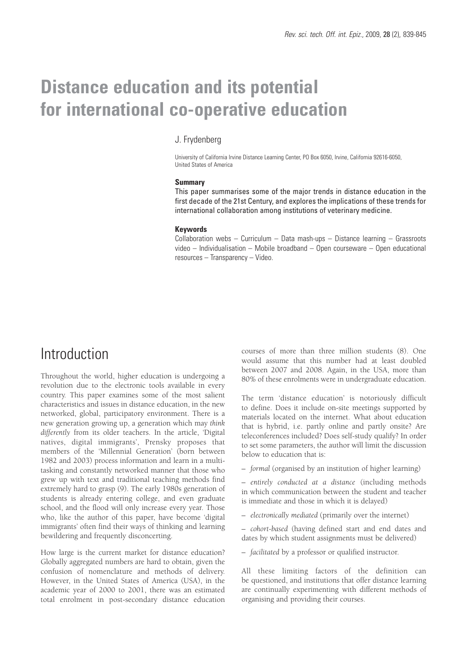# **Distance education and its potential for international co-operative education**

#### J. Frydenberg

University of California Irvine Distance Learning Center, PO Box 6050, Irvine, California 92616-6050, United States of America

#### **Summary**

This paper summarises some of the major trends in distance education in the first decade of the 21st Century, and explores the implications of these trends for international collaboration among institutions of veterinary medicine.

#### **Keywords**

Collaboration webs – Curriculum – Data mash-ups – Distance learning – Grassroots video – Individualisation – Mobile broadband – Open courseware – Open educational resources – Transparency – Video.

## Introduction

Throughout the world, higher education is undergoing a revolution due to the electronic tools available in every country. This paper examines some of the most salient characteristics and issues in distance education, in the new networked, global, participatory environment. There is a new generation growing up, a generation which may *think differently* from its older teachers. In the article, 'Digital natives, digital immigrants', Prensky proposes that members of the 'Millennial Generation' (born between 1982 and 2003) process information and learn in a multitasking and constantly networked manner that those who grew up with text and traditional teaching methods find extremely hard to grasp (9). The early 1980s generation of students is already entering college, and even graduate school, and the flood will only increase every year. Those who, like the author of this paper, have become 'digital immigrants' often find their ways of thinking and learning bewildering and frequently disconcerting.

How large is the current market for distance education? Globally aggregated numbers are hard to obtain, given the confusion of nomenclature and methods of delivery. However, in the United States of America (USA), in the academic year of 2000 to 2001, there was an estimated total enrolment in post-secondary distance education

courses of more than three million students (8). One would assume that this number had at least doubled between 2007 and 2008. Again, in the USA, more than 80% of these enrolments were in undergraduate education.

The term 'distance education' is notoriously difficult to define. Does it include on-site meetings supported by materials located on the internet. What about education that is hybrid, i.e. partly online and partly onsite? Are teleconferences included? Does self-study qualify? In order to set some parameters, the author will limit the discussion below to education that is:

– *formal* (organised by an institution of higher learning)

– *entirely conducted at a distance* (including methods in which communication between the student and teacher is immediate and those in which it is delayed)

– *electronically mediated* (primarily over the internet)

– *cohort-based* (having defined start and end dates and dates by which student assignments must be delivered)

– *facilitated* by a professor or qualified instructor.

All these limiting factors of the definition can be questioned, and institutions that offer distance learning are continually experimenting with different methods of organising and providing their courses.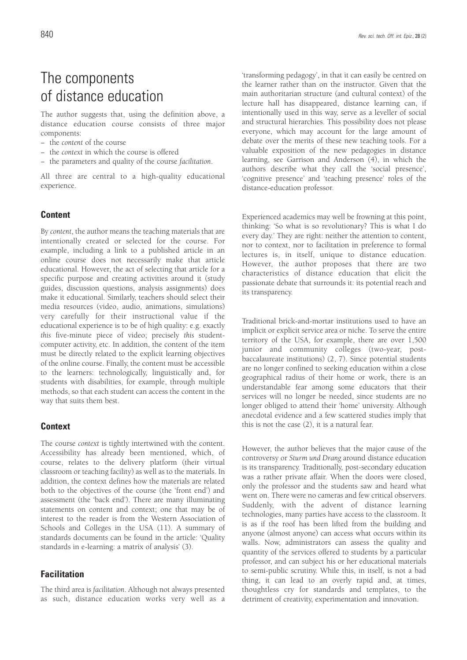The author suggests that, using the definition above, a distance education course consists of three major components:

- − the *content* of the course
- − the *context* in which the course is offered
- − the parameters and quality of the course *facilitation*.

All three are central to a high-quality educational experience.

#### **Content**

By *content*, the author means the teaching materials that are intentionally created or selected for the course. For example, including a link to a published article in an online course does not necessarily make that article educational. However, the act of selecting that article for a specific purpose and creating activities around it (study guides, discussion questions, analysis assignments) does make it educational. Similarly, teachers should select their media resources (video, audio, animations, simulations) very carefully for their instructional value if the educational experience is to be of high quality: e.g. exactly *this* five-minute piece of video; precisely *this* studentcomputer activity, etc. In addition, the content of the item must be directly related to the explicit learning objectives of the online course. Finally, the content must be accessible to the learners: technologically, linguistically and, for students with disabilities, for example, through multiple methods, so that each student can access the content in the way that suits them best.

#### **Context**

The course *context* is tightly intertwined with the content. Accessibility has already been mentioned, which, of course, relates to the delivery platform (their virtual classroom or teaching facility) as well as to the materials. In addition, the context defines how the materials are related both to the objectives of the course (the 'front end') and assessment (the 'back end'). There are many illuminating statements on content and context; one that may be of interest to the reader is from the Western Association of Schools and Colleges in the USA (11). A summary of standards documents can be found in the article: 'Quality standards in e-learning: a matrix of analysis' (3).

#### **Facilitation**

The third area is *facilitation*. Although not always presented as such, distance education works very well as a

'transforming pedagogy', in that it can easily be centred on the learner rather than on the instructor. Given that the main authoritarian structure (and cultural context) of the lecture hall has disappeared, distance learning can, if intentionally used in this way, serve as a leveller of social and structural hierarchies. This possibility does not please everyone, which may account for the large amount of debate over the merits of these new teaching tools. For a valuable exposition of the new pedagogies in distance learning, see Garrison and Anderson (4), in which the authors describe what they call the 'social presence', 'cognitive presence' and 'teaching presence' roles of the distance-education professor.

Experienced academics may well be frowning at this point, thinking: 'So what is so revolutionary? This is what I do every day.' They are right: neither the attention to content, nor to context, nor to facilitation in preference to formal lectures is, in itself, unique to distance education. However, the author proposes that there are two characteristics of distance education that elicit the passionate debate that surrounds it: its potential reach and its transparency.

Traditional brick-and-mortar institutions used to have an implicit or explicit service area or niche. To serve the entire territory of the USA, for example, there are over 1,500 junior and community colleges (two-year, postbaccalaureate institutions) (2, 7). Since potential students are no longer confined to seeking education within a close geographical radius of their home or work, there is an understandable fear among some educators that their services will no longer be needed, since students are no longer obliged to attend their 'home' university. Although anecdotal evidence and a few scattered studies imply that this is not the case (2), it is a natural fear.

However, the author believes that the major cause of the controversy or *Sturm und Drang* around distance education is its transparency. Traditionally, post-secondary education was a rather private affair. When the doors were closed, only the professor and the students saw and heard what went on. There were no cameras and few critical observers. Suddenly, with the advent of distance learning technologies, many parties have access to the classroom. It is as if the roof has been lifted from the building and anyone (almost anyone) can access what occurs within its walls. Now, administrators can assess the quality and quantity of the services offered to students by a particular professor, and can subject his or her educational materials to semi-public scrutiny. While this, in itself, is not a bad thing, it can lead to an overly rapid and, at times, thoughtless cry for standards and templates, to the detriment of creativity, experimentation and innovation.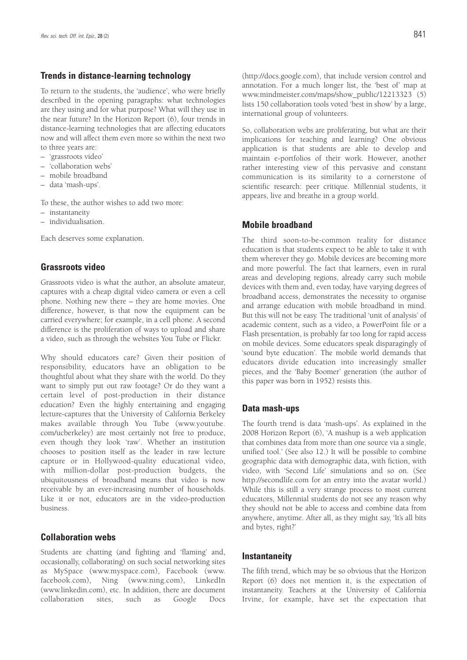#### **Trends in distance-learning technology**

To return to the students, the 'audience', who were briefly described in the opening paragraphs: what technologies are they using and for what purpose? What will they use in the near future? In the Horizon Report (6), four trends in distance-learning technologies that are affecting educators now and will affect them even more so within the next two to three years are:

- 'grassroots video'
- 'collaboration webs'
- mobile broadband
- data 'mash-ups'.

To these, the author wishes to add two more:

- instantaneity
- individualisation.

Each deserves some explanation.

#### **Grassroots video**

Grassroots video is what the author, an absolute amateur, captures with a cheap digital video camera or even a cell phone. Nothing new there – they are home movies. One difference, however, is that now the equipment can be carried everywhere; for example, in a cell phone. A second difference is the proliferation of ways to upload and share a video, such as through the websites You Tube or Flickr.

Why should educators care? Given their position of responsibility, educators have an obligation to be thoughtful about what they share with the world. Do they want to simply put out raw footage? Or do they want a certain level of post-production in their distance education? Even the highly entertaining and engaging lecture-captures that the University of California Berkeley makes available through You Tube (www.youtube. com/ucberkeley) are most certainly not free to produce, even though they look 'raw'. Whether an institution chooses to position itself as the leader in raw lecture capture or in Hollywood-quality educational video, with million-dollar post-production budgets, the ubiquitousness of broadband means that video is now receivable by an ever-increasing number of households. Like it or not, educators are in the video-production business.

#### **Collaboration webs**

Students are chatting (and fighting and 'flaming' and, occasionally, collaborating) on such social networking sites as MySpace (www.myspace.com), Facebook (www. facebook.com), Ning (www.ning.com), LinkedIn (www.linkedin.com), etc. In addition, there are document collaboration sites, such as Google Docs (http://docs.google.com), that include version control and annotation. For a much longer list, the 'best of' map at www.mindmeister.com/maps/show\_public/12213323 (5) lists 150 collaboration tools voted 'best in show' by a large, international group of volunteers.

So, collaboration webs are proliferating, but what are their implications for teaching and learning? One obvious application is that students are able to develop and maintain e-portfolios of their work. However, another rather interesting view of this pervasive and constant communication is its similarity to a cornerstone of scientific research: peer critique. Millennial students, it appears, live and breathe in a group world.

#### **Mobile broadband**

The third soon-to-be-common reality for distance education is that students expect to be able to take it with them wherever they go. Mobile devices are becoming more and more powerful. The fact that learners, even in rural areas and developing regions, already carry such mobile devices with them and, even today, have varying degrees of broadband access, demonstrates the necessity to organise and arrange education with mobile broadband in mind. But this will not be easy. The traditional 'unit of analysis' of academic content, such as a video, a PowerPoint file or a Flash presentation, is probably far too long for rapid access on mobile devices. Some educators speak disparagingly of 'sound byte education'. The mobile world demands that educators divide education into increasingly smaller pieces, and the 'Baby Boomer' generation (the author of this paper was born in 1952) resists this.

#### **Data mash-ups**

The fourth trend is data 'mash-ups'. As explained in the 2008 Horizon Report (6), 'A mashup is a web application that combines data from more than one source via a single, unified tool.' (See also 12.) It will be possible to combine geographic data with demographic data, with fiction, with video, with 'Second Life' simulations and so on. (See http://secondlife.com for an entry into the avatar world.) While this is still a very strange process to most current educators, Millennial students do not see any reason why they should not be able to access and combine data from anywhere, anytime. After all, as they might say, 'It's all bits and bytes, right?'

#### **Instantaneity**

The fifth trend, which may be so obvious that the Horizon Report (6) does not mention it, is the expectation of instantaneity. Teachers at the University of California Irvine, for example, have set the expectation that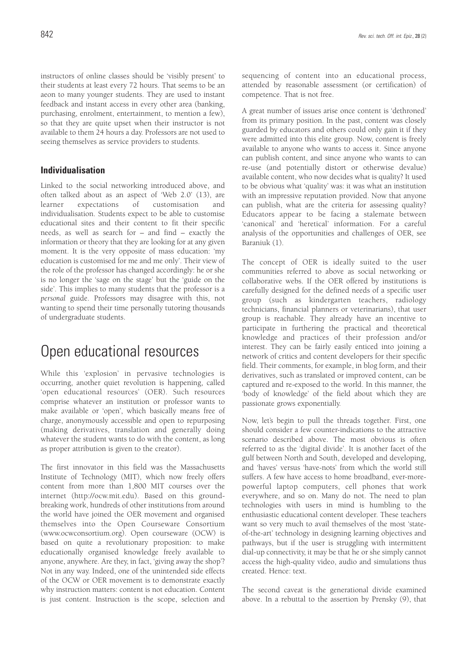instructors of online classes should be 'visibly present' to their students at least every 72 hours. That seems to be an aeon to many younger students. They are used to instant feedback and instant access in every other area (banking, purchasing, enrolment, entertainment, to mention a few), so that they are quite upset when their instructor is not available to them 24 hours a day. Professors are not used to seeing themselves as service providers to students.

#### **Individualisation**

Linked to the social networking introduced above, and often talked about as an aspect of 'Web 2.0' (13), are learner expectations of customisation and individualisation. Students expect to be able to customise educational sites and their content to fit their specific needs, as well as search for – and find – exactly the information or theory that they are looking for at any given moment. It is the very opposite of mass education: 'my education is customised for me and me only'. Their view of the role of the professor has changed accordingly: he or she is no longer the 'sage on the stage' but the 'guide on the side'. This implies to many students that the professor is a *personal* guide. Professors may disagree with this, not wanting to spend their time personally tutoring thousands of undergraduate students.

## Open educational resources

While this 'explosion' in pervasive technologies is occurring, another quiet revolution is happening, called 'open educational resources' (OER). Such resources comprise whatever an institution or professor wants to make available or 'open', which basically means free of charge, anonymously accessible and open to repurposing (making derivatives, translation and generally doing whatever the student wants to do with the content, as long as proper attribution is given to the creator).

The first innovator in this field was the Massachusetts Institute of Technology (MIT), which now freely offers content from more than 1,800 MIT courses over the internet (http://ocw.mit.edu). Based on this groundbreaking work, hundreds of other institutions from around the world have joined the OER movement and organised themselves into the Open Courseware Consortium (www.ocwconsortium.org). Open courseware (OCW) is based on quite a revolutionary proposition: to make educationally organised knowledge freely available to anyone, anywhere. Are they, in fact, 'giving away the shop'? Not in any way. Indeed, one of the unintended side effects of the OCW or OER movement is to demonstrate exactly why instruction matters: content is not education. Content is just content. Instruction is the scope, selection and sequencing of content into an educational process, attended by reasonable assessment (or certification) of competence. That is not free.

A great number of issues arise once content is 'dethroned' from its primary position. In the past, content was closely guarded by educators and others could only gain it if they were admitted into this elite group. Now, content is freely available to anyone who wants to access it. Since anyone can publish content, and since anyone who wants to can re-use (and potentially distort or otherwise devalue) available content, who now decides what is quality? It used to be obvious what 'quality' was: it was what an institution with an impressive reputation provided. Now that anyone can publish, what are the criteria for assessing quality? Educators appear to be facing a stalemate between 'canonical' and 'heretical' information. For a careful analysis of the opportunities and challenges of OER, see Baraniuk (1).

The concept of OER is ideally suited to the user communities referred to above as social networking or collaborative webs. If the OER offered by institutions is carefully designed for the defined needs of a specific user group (such as kindergarten teachers, radiology technicians, financial planners or veterinarians), that user group is reachable. They already have an incentive to participate in furthering the practical and theoretical knowledge and practices of their profession and/or interest. They can be fairly easily enticed into joining a network of critics and content developers for their specific field. Their comments, for example, in blog form, and their derivatives, such as translated or improved content, can be captured and re-exposed to the world. In this manner, the 'body of knowledge' of the field about which they are passionate grows exponentially.

Now, let's begin to pull the threads together. First, one should consider a few counter-indications to the attractive scenario described above. The most obvious is often referred to as the 'digital divide'. It is another facet of the gulf between North and South, developed and developing, and 'haves' versus 'have-nots' from which the world still suffers. A few have access to home broadband, ever-morepowerful laptop computers, cell phones that work everywhere, and so on. Many do not. The need to plan technologies with users in mind is humbling to the enthusiastic educational content developer. These teachers want so very much to avail themselves of the most 'stateof-the-art' technology in designing learning objectives and pathways, but if the user is struggling with intermittent dial-up connectivity, it may be that he or she simply cannot access the high-quality video, audio and simulations thus created. Hence: text.

The second caveat is the generational divide examined above. In a rebuttal to the assertion by Prensky (9), that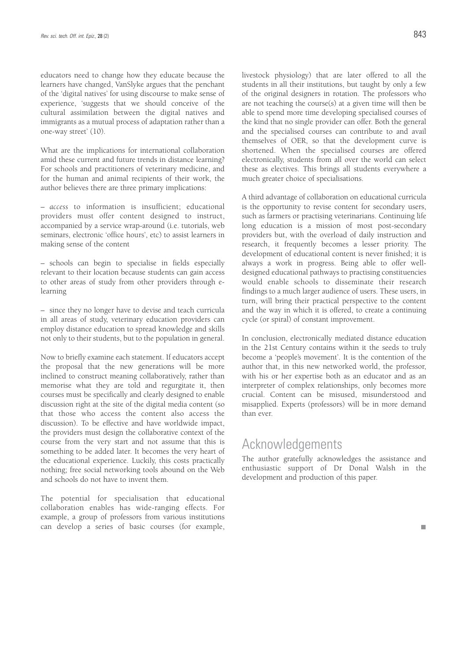educators need to change how they educate because the learners have changed, VanSlyke argues that the penchant of the 'digital natives' for using discourse to make sense of experience, 'suggests that we should conceive of the cultural assimilation between the digital natives and immigrants as a mutual process of adaptation rather than a one-way street' (10).

What are the implications for international collaboration amid these current and future trends in distance learning? For schools and practitioners of veterinary medicine, and for the human and animal recipients of their work, the author believes there are three primary implications:

– *access* to information is insufficient; educational providers must offer content designed to instruct, accompanied by a service wrap-around (i.e. tutorials, web seminars, electronic 'office hours', etc) to assist learners in making sense of the content

– schools can begin to specialise in fields especially relevant to their location because students can gain access to other areas of study from other providers through elearning

– since they no longer have to devise and teach curricula in all areas of study, veterinary education providers can employ distance education to spread knowledge and skills not only to their students, but to the population in general.

Now to briefly examine each statement. If educators accept the proposal that the new generations will be more inclined to construct meaning collaboratively, rather than memorise what they are told and regurgitate it, then courses must be specifically and clearly designed to enable discussion right at the site of the digital media content (so that those who access the content also access the discussion). To be effective and have worldwide impact, the providers must design the collaborative context of the course from the very start and not assume that this is something to be added later. It becomes the very heart of the educational experience. Luckily, this costs practically nothing; free social networking tools abound on the Web and schools do not have to invent them.

The potential for specialisation that educational collaboration enables has wide-ranging effects. For example, a group of professors from various institutions can develop a series of basic courses (for example, livestock physiology) that are later offered to all the students in all their institutions, but taught by only a few of the original designers in rotation. The professors who are not teaching the course(s) at a given time will then be able to spend more time developing specialised courses of the kind that no single provider can offer. Both the general and the specialised courses can contribute to and avail themselves of OER, so that the development curve is shortened. When the specialised courses are offered electronically, students from all over the world can select

A third advantage of collaboration on educational curricula is the opportunity to revise content for secondary users, such as farmers or practising veterinarians. Continuing life long education is a mission of most post-secondary providers but, with the overload of daily instruction and research, it frequently becomes a lesser priority. The development of educational content is never finished; it is always a work in progress. Being able to offer welldesigned educational pathways to practising constituencies would enable schools to disseminate their research findings to a much larger audience of users. These users, in turn, will bring their practical perspective to the content and the way in which it is offered, to create a continuing cycle (or spiral) of constant improvement.

these as electives. This brings all students everywhere a

much greater choice of specialisations.

In conclusion, electronically mediated distance education in the 21st Century contains within it the seeds to truly become a 'people's movement'. It is the contention of the author that, in this new networked world, the professor, with his or her expertise both as an educator and as an interpreter of complex relationships, only becomes more crucial. Content can be misused, misunderstood and misapplied. Experts (professors) will be in more demand than ever.

## Acknowledgements

The author gratefully acknowledges the assistance and enthusiastic support of Dr Donal Walsh in the development and production of this paper.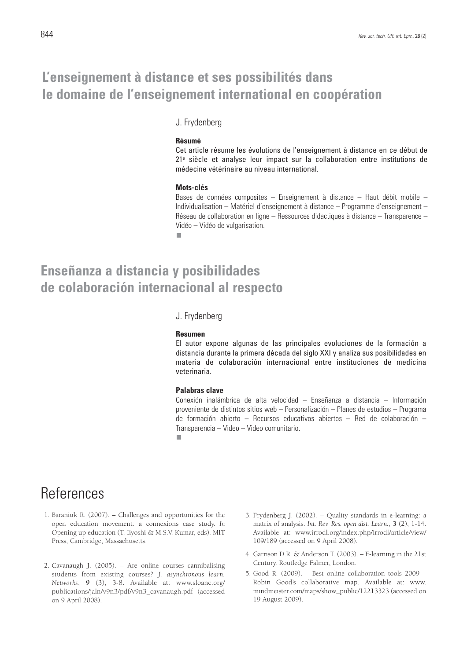## **L'enseignement à distance et ses possibilités dans le domaine de l'enseignement international en coopération**

#### J. Frydenberg

#### **Résumé**

Cet article résume les évolutions de l'enseignement à distance en ce début de 21e siècle et analyse leur impact sur la collaboration entre institutions de médecine vétérinaire au niveau international.

#### **Mots-clés**

Bases de données composites – Enseignement à distance – Haut débit mobile – Individualisation – Matériel d'enseignement à distance – Programme d'enseignement – Réseau de collaboration en ligne – Ressources didactiques à distance – Transparence – Vidéo – Vidéo de vulgarisation.

п

## **Enseñanza a distancia y posibilidades de colaboración internacional al respecto**

J. Frydenberg

#### **Resumen**

El autor expone algunas de las principales evoluciones de la formación a distancia durante la primera década del siglo XXI y analiza sus posibilidades en materia de colaboración internacional entre instituciones de medicina veterinaria.

#### **Palabras clave**

Conexión inalámbrica de alta velocidad – Enseñanza a distancia – Información proveniente de distintos sitios web – Personalización – Planes de estudios – Programa de formación abierto – Recursos educativos abiertos – Red de colaboración – Transparencia – Video – Video comunitario.

п

## References

- 1. Baraniuk R. (2007). Challenges and opportunities for the open education movement: a connexions case study. *In* Opening up education (T. Iiyoshi & M.S.V. Kumar, eds). MIT Press, Cambridge, Massachusetts.
- 2. Cavanaugh J. (2005). Are online courses cannibalising students from existing courses? *J. asynchronous learn. Networks*, **9** (3), 3-8. Available at: www.sloanc.org/ publications/jaln/v9n3/pdf/v9n3\_cavanaugh.pdf (accessed on 9 April 2008).
- 3. Frydenberg J. (2002). Quality standards in e-learning: a matrix of analysis. *Int. Rev. Res. open dist. Learn.*, **3** (2), 1-14. Available at: www.irrodl.org/index.php/irrodl/article/view/ 109/189 (accessed on 9 April 2008).
- 4. Garrison D.R. & Anderson T. (2003). E-learning in the 21st Century. Routledge Falmer, London.
- 5. Good R. (2009). Best online collaboration tools 2009 Robin Good's collaborative map. Available at: www. mindmeister.com/maps/show\_public/12213323 (accessed on 19 August 2009).